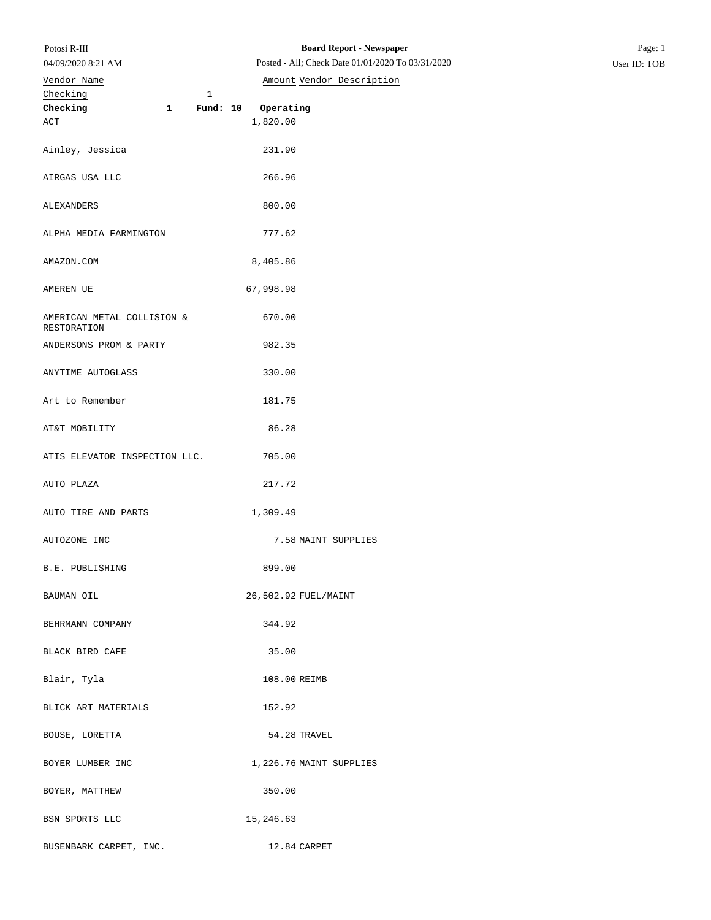| Potosi R-III |  |
|--------------|--|
|              |  |

## Checking 1 **Checking 1 Fund: 10 Operating** ACT 1,820.00 04/09/2020 8:21 AM Vendor Name **Amount** Vendor Description

Ainley, Jessica 231.90

AIRGAS USA LLC 266.96

| ALEXANDERS                                | 800.00                  |
|-------------------------------------------|-------------------------|
| ALPHA MEDIA FARMINGTON                    | 777.62                  |
| AMAZON.COM                                | 8,405.86                |
| AMEREN UE                                 | 67,998.98               |
| AMERICAN METAL COLLISION &<br>RESTORATION | 670.00                  |
| ANDERSONS PROM & PARTY                    | 982.35                  |
| ANYTIME AUTOGLASS                         | 330.00                  |
| Art to Remember                           | 181.75                  |
| AT&T MOBILITY                             | 86.28                   |
| ATIS ELEVATOR INSPECTION LLC.             | 705.00                  |
| AUTO PLAZA                                | 217.72                  |
| AUTO TIRE AND PARTS                       | 1,309.49                |
| AUTOZONE INC                              | 7.58 MAINT SUPPLIES     |
| B.E. PUBLISHING                           | 899.00                  |
| BAUMAN OIL                                | 26,502.92 FUEL/MAINT    |
| BEHRMANN COMPANY                          | 344.92                  |
| BLACK BIRD CAFE                           | 35.00                   |
| Blair, Tyla                               | 108.00 REIMB            |
| BLICK ART MATERIALS                       | 152.92                  |
| BOUSE, LORETTA                            | 54.28 TRAVEL            |
| BOYER LUMBER INC                          | 1,226.76 MAINT SUPPLIES |
| BOYER, MATTHEW                            | 350.00                  |
| BSN SPORTS LLC                            | 15,246.63               |
| BUSENBARK CARPET, INC.                    | 12.84 CARPET            |
|                                           |                         |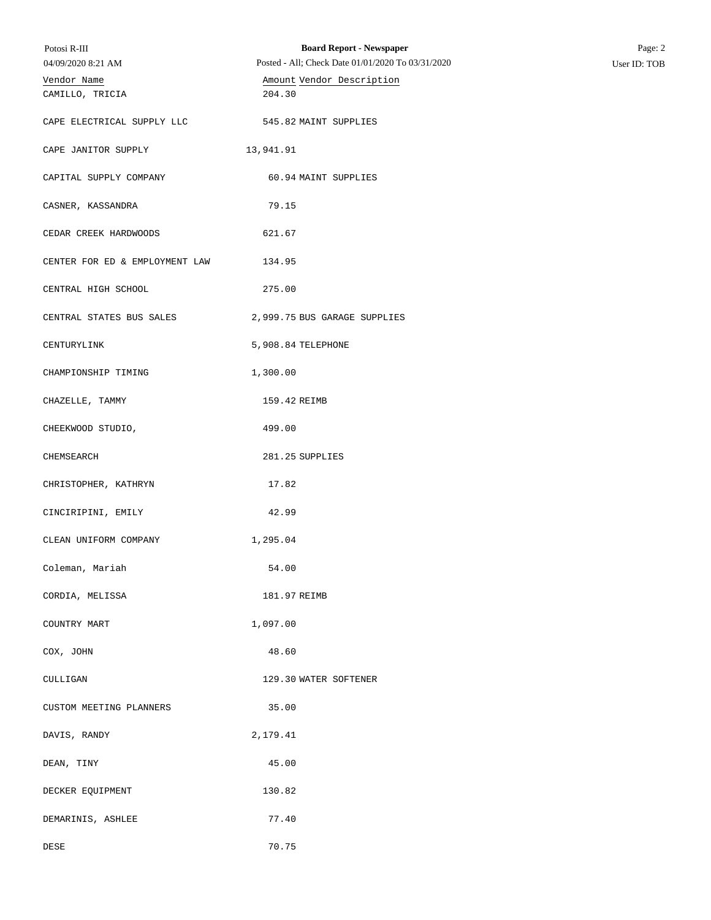| Potosi R-III                   | <b>Board Report - Newspaper</b>                   | Page: 2      |
|--------------------------------|---------------------------------------------------|--------------|
| 04/09/2020 8:21 AM             | Posted - All; Check Date 01/01/2020 To 03/31/2020 | User ID: TOB |
| Vendor Name<br>CAMILLO, TRICIA | Amount Vendor Description<br>204.30               |              |
|                                |                                                   |              |
| CAPE ELECTRICAL SUPPLY LLC     | 545.82 MAINT SUPPLIES                             |              |
| CAPE JANITOR SUPPLY            | 13,941.91                                         |              |
|                                |                                                   |              |
| CAPITAL SUPPLY COMPANY         | 60.94 MAINT SUPPLIES                              |              |
| CASNER, KASSANDRA              | 79.15                                             |              |
|                                |                                                   |              |
| CEDAR CREEK HARDWOODS          | 621.67                                            |              |
| CENTER FOR ED & EMPLOYMENT LAW | 134.95                                            |              |
|                                |                                                   |              |
| CENTRAL HIGH SCHOOL            | 275.00                                            |              |
| CENTRAL STATES BUS SALES       | 2,999.75 BUS GARAGE SUPPLIES                      |              |
|                                | 5,908.84 TELEPHONE                                |              |
| CENTURYLINK                    |                                                   |              |
| CHAMPIONSHIP TIMING            | 1,300.00                                          |              |
| CHAZELLE, TAMMY                | 159.42 REIMB                                      |              |
|                                |                                                   |              |
| CHEEKWOOD STUDIO,              | 499.00                                            |              |
| CHEMSEARCH                     | 281.25 SUPPLIES                                   |              |
|                                |                                                   |              |
| CHRISTOPHER, KATHRYN           | 17.82                                             |              |
| CINCIRIPINI, EMILY             | 42.99                                             |              |
|                                |                                                   |              |
| CLEAN UNIFORM COMPANY          | 1,295.04                                          |              |
| Coleman, Mariah                | 54.00                                             |              |
| CORDIA, MELISSA                | 181.97 REIMB                                      |              |
|                                |                                                   |              |
| COUNTRY MART                   | 1,097.00                                          |              |
| COX, JOHN                      | 48.60                                             |              |
|                                |                                                   |              |
| CULLIGAN                       | 129.30 WATER SOFTENER                             |              |
| CUSTOM MEETING PLANNERS        | 35.00                                             |              |
|                                |                                                   |              |
| DAVIS, RANDY                   | 2,179.41                                          |              |
| DEAN, TINY                     | 45.00                                             |              |
|                                |                                                   |              |
| DECKER EQUIPMENT               | 130.82                                            |              |
| DEMARINIS, ASHLEE              | 77.40                                             |              |
| DESE                           | 70.75                                             |              |
|                                |                                                   |              |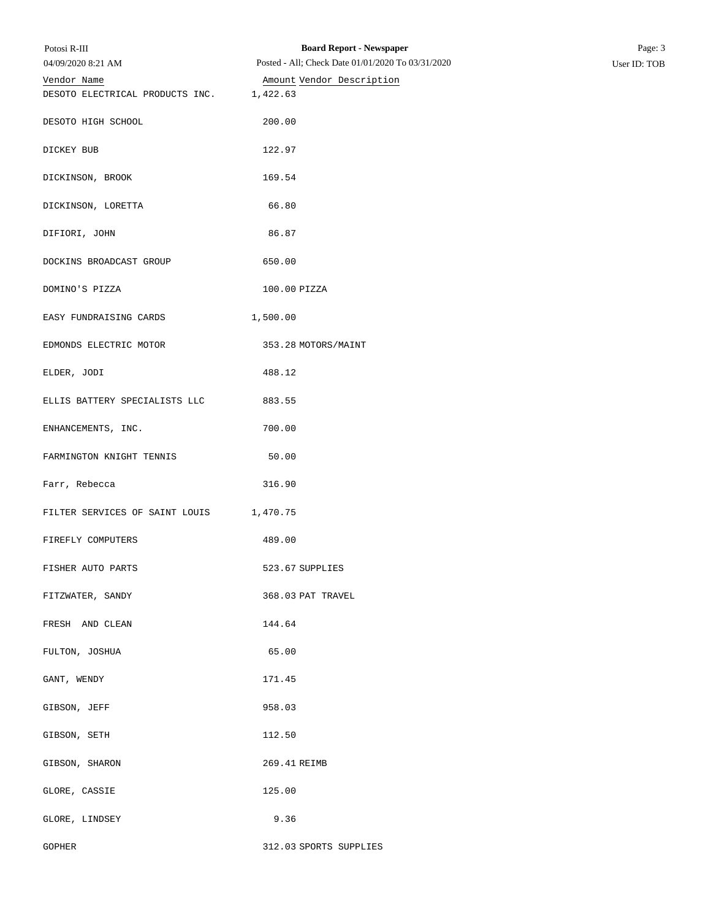| Potosi R-III                    | <b>Board Report - Newspaper</b>                   | Page: 3      |
|---------------------------------|---------------------------------------------------|--------------|
| 04/09/2020 8:21 AM              | Posted - All; Check Date 01/01/2020 To 03/31/2020 | User ID: TOB |
| Vendor Name                     | Amount Vendor Description                         |              |
| DESOTO ELECTRICAL PRODUCTS INC. | 1,422.63                                          |              |
| DESOTO HIGH SCHOOL              | 200.00                                            |              |
| DICKEY BUB                      | 122.97                                            |              |
| DICKINSON, BROOK                | 169.54                                            |              |
| DICKINSON, LORETTA              | 66.80                                             |              |
| DIFIORI, JOHN                   | 86.87                                             |              |
| DOCKINS BROADCAST GROUP         | 650.00                                            |              |
| DOMINO'S PIZZA                  | 100.00 PIZZA                                      |              |
| EASY FUNDRAISING CARDS          | 1,500.00                                          |              |
| EDMONDS ELECTRIC MOTOR          | 353.28 MOTORS/MAINT                               |              |
| ELDER, JODI                     | 488.12                                            |              |
| ELLIS BATTERY SPECIALISTS LLC   | 883.55                                            |              |
| ENHANCEMENTS, INC.              | 700.00                                            |              |
| FARMINGTON KNIGHT TENNIS        | 50.00                                             |              |
| Farr, Rebecca                   | 316.90                                            |              |
| FILTER SERVICES OF SAINT LOUIS  | 1,470.75                                          |              |
| FIREFLY COMPUTERS               | 489.00                                            |              |
| FISHER AUTO PARTS               | 523.67 SUPPLIES                                   |              |
| FITZWATER, SANDY                | 368.03 PAT TRAVEL                                 |              |
| FRESH AND CLEAN                 | 144.64                                            |              |
| FULTON, JOSHUA                  | 65.00                                             |              |
| GANT, WENDY                     | 171.45                                            |              |
| GIBSON, JEFF                    | 958.03                                            |              |
| GIBSON, SETH                    | 112.50                                            |              |
| GIBSON, SHARON                  | 269.41 REIMB                                      |              |
| GLORE, CASSIE                   | 125.00                                            |              |
| GLORE, LINDSEY                  | 9.36                                              |              |
| <b>GOPHER</b>                   | 312.03 SPORTS SUPPLIES                            |              |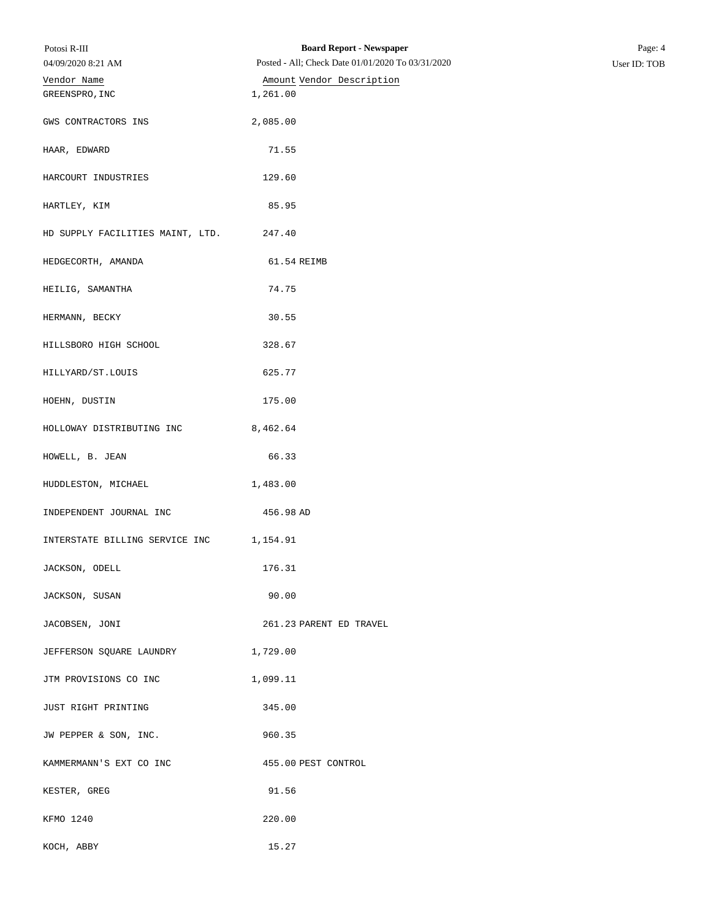| Potosi R-III<br>04/09/2020 8:21 AM | <b>Board Report - Newspaper</b><br>Posted - All; Check Date 01/01/2020 To 03/31/2020 | Page: 4<br>User ID: TOB |
|------------------------------------|--------------------------------------------------------------------------------------|-------------------------|
| Vendor Name                        | Amount Vendor Description                                                            |                         |
| GREENSPRO, INC                     | 1,261.00                                                                             |                         |
| GWS CONTRACTORS INS                | 2,085.00                                                                             |                         |
| HAAR, EDWARD                       | 71.55                                                                                |                         |
| HARCOURT INDUSTRIES                | 129.60                                                                               |                         |
| HARTLEY, KIM                       | 85.95                                                                                |                         |
| HD SUPPLY FACILITIES MAINT, LTD.   | 247.40                                                                               |                         |
| HEDGECORTH, AMANDA                 | 61.54 REIMB                                                                          |                         |
| HEILIG, SAMANTHA                   | 74.75                                                                                |                         |
| HERMANN, BECKY                     | 30.55                                                                                |                         |
| HILLSBORO HIGH SCHOOL              | 328.67                                                                               |                         |
| HILLYARD/ST.LOUIS                  | 625.77                                                                               |                         |
| HOEHN, DUSTIN                      | 175.00                                                                               |                         |
| HOLLOWAY DISTRIBUTING INC          | 8,462.64                                                                             |                         |
| HOWELL, B. JEAN                    | 66.33                                                                                |                         |
| HUDDLESTON, MICHAEL                | 1,483.00                                                                             |                         |
| INDEPENDENT JOURNAL INC            | 456.98 AD                                                                            |                         |
| INTERSTATE BILLING SERVICE INC     | 1,154.91                                                                             |                         |
| JACKSON, ODELL                     | 176.31                                                                               |                         |
| JACKSON, SUSAN                     | 90.00                                                                                |                         |
| JACOBSEN, JONI                     | 261.23 PARENT ED TRAVEL                                                              |                         |
| JEFFERSON SQUARE LAUNDRY           | 1,729.00                                                                             |                         |
| JTM PROVISIONS CO INC              | 1,099.11                                                                             |                         |
| JUST RIGHT PRINTING                | 345.00                                                                               |                         |
| JW PEPPER & SON, INC.              | 960.35                                                                               |                         |
| KAMMERMANN'S EXT CO INC            | 455.00 PEST CONTROL                                                                  |                         |
| KESTER, GREG                       | 91.56                                                                                |                         |
| KFMO 1240                          | 220.00                                                                               |                         |
| KOCH, ABBY                         | 15.27                                                                                |                         |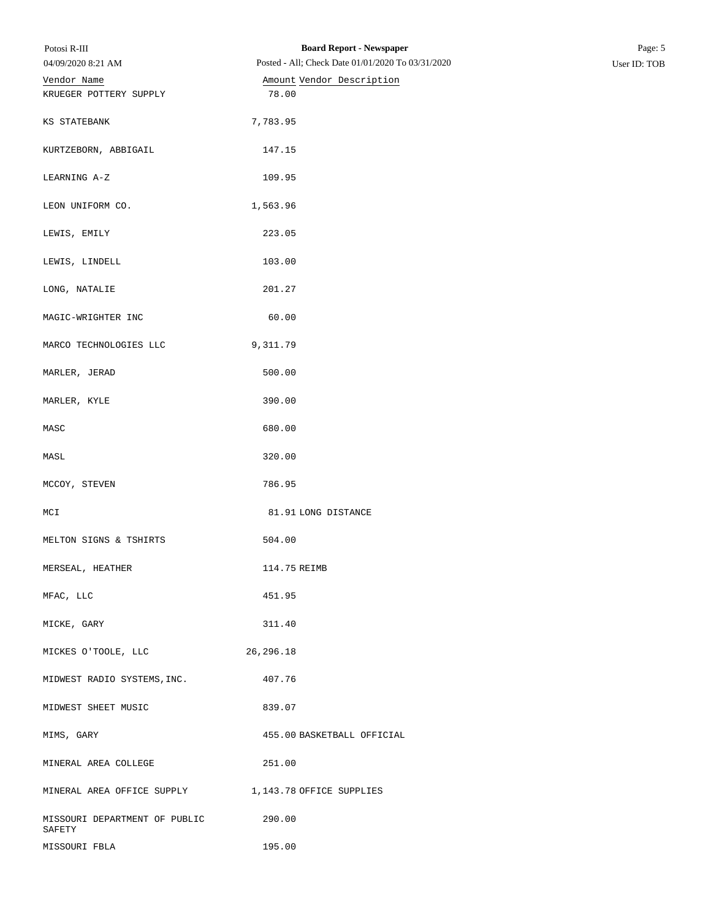| Potosi R-III                                        | <b>Board Report - Newspaper</b>                   | Page: 5      |
|-----------------------------------------------------|---------------------------------------------------|--------------|
| 04/09/2020 8:21 AM                                  | Posted - All; Check Date 01/01/2020 To 03/31/2020 | User ID: TOB |
| Vendor Name                                         | Amount Vendor Description                         |              |
| KRUEGER POTTERY SUPPLY                              | 78.00                                             |              |
| KS STATEBANK                                        | 7,783.95                                          |              |
| KURTZEBORN, ABBIGAIL                                | 147.15                                            |              |
| LEARNING A-Z                                        | 109.95                                            |              |
| LEON UNIFORM CO.                                    | 1,563.96                                          |              |
| LEWIS, EMILY                                        | 223.05                                            |              |
| LEWIS, LINDELL                                      | 103.00                                            |              |
| LONG, NATALIE                                       | 201.27                                            |              |
| MAGIC-WRIGHTER INC                                  | 60.00                                             |              |
| MARCO TECHNOLOGIES LLC                              | 9,311.79                                          |              |
| MARLER, JERAD                                       | 500.00                                            |              |
| MARLER, KYLE                                        | 390.00                                            |              |
| MASC                                                | 680.00                                            |              |
| MASL                                                | 320.00                                            |              |
| MCCOY, STEVEN                                       | 786.95                                            |              |
| MCI                                                 | 81.91 LONG DISTANCE                               |              |
| MELTON SIGNS & TSHIRTS                              | 504.00                                            |              |
| MERSEAL, HEATHER                                    | 114.75 REIMB                                      |              |
| MFAC, LLC                                           | 451.95                                            |              |
| MICKE, GARY                                         | 311.40                                            |              |
| MICKES O'TOOLE, LLC                                 | 26, 296. 18                                       |              |
| MIDWEST RADIO SYSTEMS, INC.                         | 407.76                                            |              |
| MIDWEST SHEET MUSIC                                 | 839.07                                            |              |
| MIMS, GARY                                          | 455.00 BASKETBALL OFFICIAL                        |              |
| MINERAL AREA COLLEGE                                | 251.00                                            |              |
| MINERAL AREA OFFICE SUPPLY 1,143.78 OFFICE SUPPLIES |                                                   |              |
| MISSOURI DEPARTMENT OF PUBLIC<br>SAFETY             | 290.00                                            |              |
| MISSOURI FBLA                                       | 195.00                                            |              |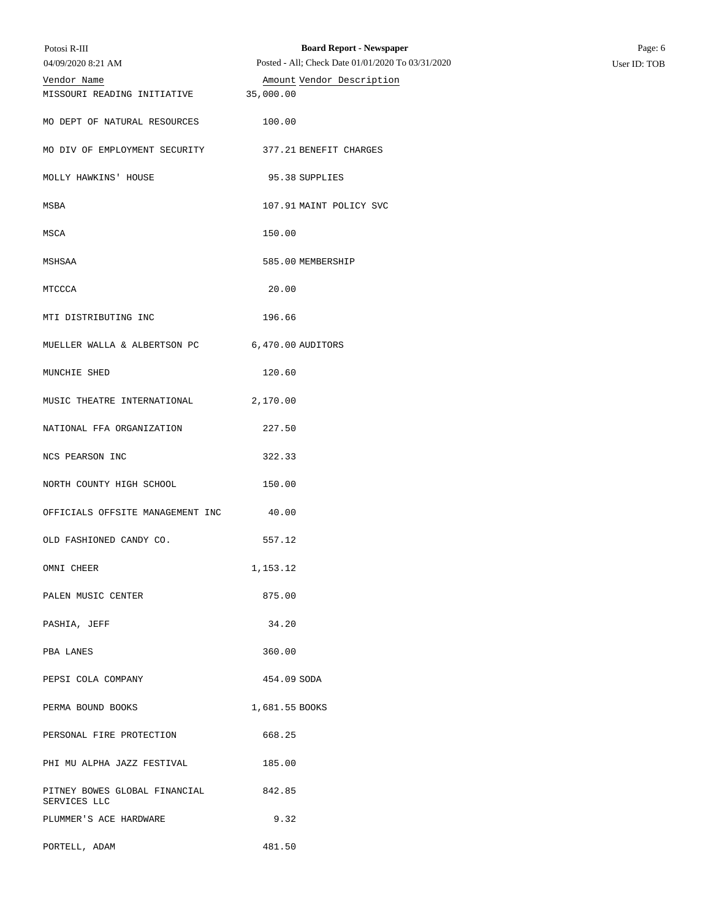| Potosi R-III                                   | <b>Board Report - Newspaper</b>                   | Page: 6      |
|------------------------------------------------|---------------------------------------------------|--------------|
| 04/09/2020 8:21 AM                             | Posted - All; Check Date 01/01/2020 To 03/31/2020 | User ID: TOB |
| Vendor Name                                    | Amount Vendor Description                         |              |
| MISSOURI READING INITIATIVE                    | 35,000.00                                         |              |
| MO DEPT OF NATURAL RESOURCES                   | 100.00                                            |              |
| MO DIV OF EMPLOYMENT SECURITY                  | 377.21 BENEFIT CHARGES                            |              |
| MOLLY HAWKINS' HOUSE                           | 95.38 SUPPLIES                                    |              |
| MSBA                                           | 107.91 MAINT POLICY SVC                           |              |
| MSCA                                           | 150.00                                            |              |
| MSHSAA                                         | 585.00 MEMBERSHIP                                 |              |
| MTCCCA                                         | 20.00                                             |              |
| MTI DISTRIBUTING INC                           | 196.66                                            |              |
| MUELLER WALLA & ALBERTSON PC 6,470.00 AUDITORS |                                                   |              |
| MUNCHIE SHED                                   | 120.60                                            |              |
| MUSIC THEATRE INTERNATIONAL                    | 2,170.00                                          |              |
| NATIONAL FFA ORGANIZATION                      | 227.50                                            |              |
| NCS PEARSON INC                                | 322.33                                            |              |
| NORTH COUNTY HIGH SCHOOL                       | 150.00                                            |              |
| OFFICIALS OFFSITE MANAGEMENT INC               | 40.00                                             |              |
| OLD FASHIONED CANDY CO.                        | 557.12                                            |              |
| OMNI CHEER                                     | 1,153.12                                          |              |
| PALEN MUSIC CENTER                             | 875.00                                            |              |
| PASHIA, JEFF                                   | 34.20                                             |              |
| PBA LANES                                      | 360.00                                            |              |
| PEPSI COLA COMPANY                             | 454.09 SODA                                       |              |
| PERMA BOUND BOOKS                              | 1,681.55 BOOKS                                    |              |
| PERSONAL FIRE PROTECTION                       | 668.25                                            |              |
| PHI MU ALPHA JAZZ FESTIVAL                     | 185.00                                            |              |
| PITNEY BOWES GLOBAL FINANCIAL<br>SERVICES LLC  | 842.85                                            |              |
| PLUMMER'S ACE HARDWARE                         | 9.32                                              |              |
| PORTELL, ADAM                                  | 481.50                                            |              |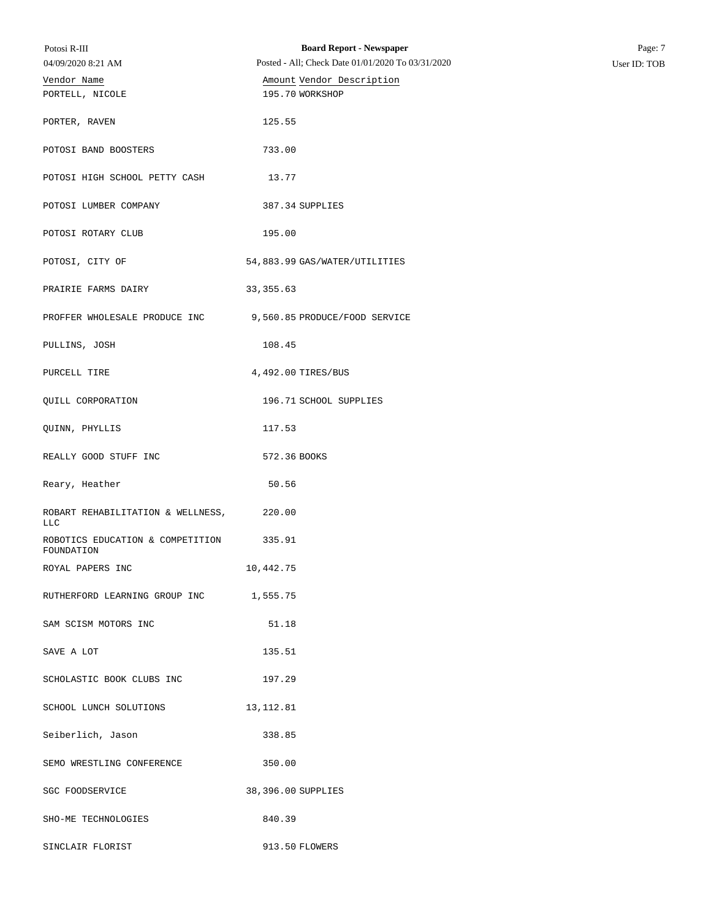| Potosi R-III                                   | <b>Board Report - Newspaper</b>                   | Page: 7      |
|------------------------------------------------|---------------------------------------------------|--------------|
| 04/09/2020 8:21 AM                             | Posted - All; Check Date 01/01/2020 To 03/31/2020 | User ID: TOB |
| Vendor Name                                    | Amount Vendor Description                         |              |
| PORTELL, NICOLE                                | 195.70 WORKSHOP                                   |              |
| PORTER, RAVEN                                  | 125.55                                            |              |
| POTOSI BAND BOOSTERS                           | 733.00                                            |              |
| POTOSI HIGH SCHOOL PETTY CASH                  | 13.77                                             |              |
| POTOSI LUMBER COMPANY                          | 387.34 SUPPLIES                                   |              |
| POTOSI ROTARY CLUB                             | 195.00                                            |              |
| POTOSI, CITY OF                                | 54,883.99 GAS/WATER/UTILITIES                     |              |
| PRAIRIE FARMS DAIRY                            | 33, 355.63                                        |              |
| PROFFER WHOLESALE PRODUCE INC                  | 9,560.85 PRODUCE/FOOD SERVICE                     |              |
| PULLINS, JOSH                                  | 108.45                                            |              |
| PURCELL TIRE                                   | 4,492.00 TIRES/BUS                                |              |
| QUILL CORPORATION                              | 196.71 SCHOOL SUPPLIES                            |              |
| QUINN, PHYLLIS                                 | 117.53                                            |              |
| REALLY GOOD STUFF INC                          | 572.36 BOOKS                                      |              |
| Reary, Heather                                 | 50.56                                             |              |
| ROBART REHABILITATION & WELLNESS,<br>LLC       | 220.00                                            |              |
| ROBOTICS EDUCATION & COMPETITION<br>FOUNDATION | 335.91                                            |              |
| ROYAL PAPERS INC                               | 10,442.75                                         |              |
| RUTHERFORD LEARNING GROUP INC 1,555.75         |                                                   |              |
| SAM SCISM MOTORS INC                           | 51.18                                             |              |
| SAVE A LOT                                     | 135.51                                            |              |
| SCHOLASTIC BOOK CLUBS INC                      | 197.29                                            |              |
| SCHOOL LUNCH SOLUTIONS                         | 13,112.81                                         |              |
| Seiberlich, Jason                              | 338.85                                            |              |
| SEMO WRESTLING CONFERENCE                      | 350.00                                            |              |
| SGC FOODSERVICE                                | 38,396.00 SUPPLIES                                |              |
| SHO-ME TECHNOLOGIES                            | 840.39                                            |              |
| SINCLAIR FLORIST                               | 913.50 FLOWERS                                    |              |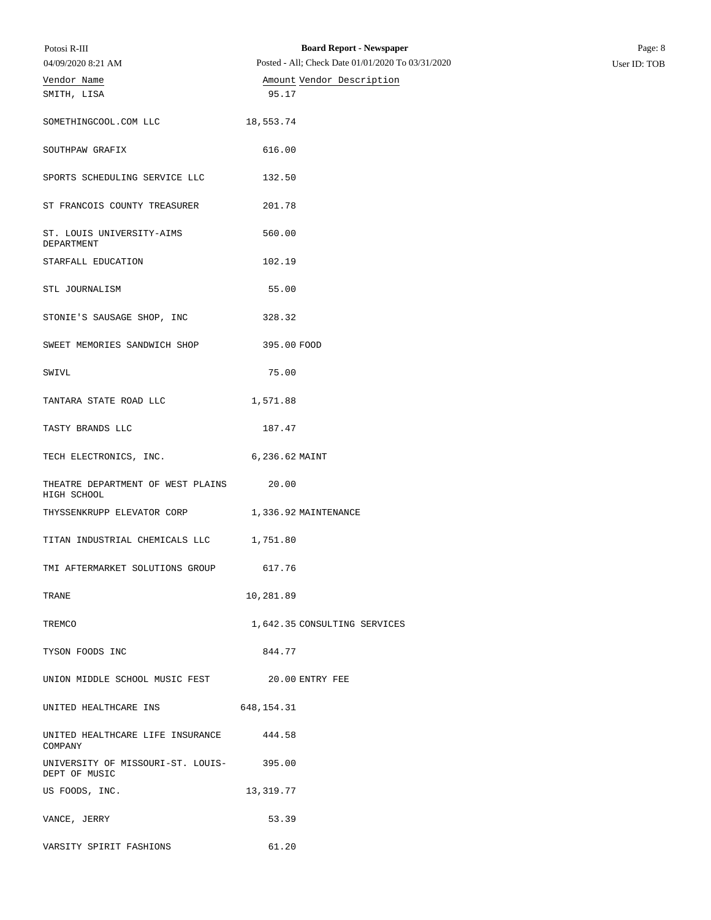| Potosi R-III<br>04/09/2020 8:21 AM                       | <b>Board Report - Newspaper</b><br>Posted - All; Check Date 01/01/2020 To 03/31/2020 | Page: 8<br>User ID: TOB |
|----------------------------------------------------------|--------------------------------------------------------------------------------------|-------------------------|
| Vendor Name                                              | Amount Vendor Description                                                            |                         |
| SMITH, LISA                                              | 95.17                                                                                |                         |
| SOMETHINGCOOL.COM LLC                                    | 18,553.74                                                                            |                         |
| SOUTHPAW GRAFIX                                          | 616.00                                                                               |                         |
| SPORTS SCHEDULING SERVICE LLC                            | 132.50                                                                               |                         |
| ST FRANCOIS COUNTY TREASURER                             | 201.78                                                                               |                         |
| ST. LOUIS UNIVERSITY-AIMS<br>DEPARTMENT                  | 560.00                                                                               |                         |
| STARFALL EDUCATION                                       | 102.19                                                                               |                         |
| STL JOURNALISM                                           | 55.00                                                                                |                         |
| STONIE'S SAUSAGE SHOP, INC                               | 328.32                                                                               |                         |
| SWEET MEMORIES SANDWICH SHOP                             | 395.00 FOOD                                                                          |                         |
| SWIVL                                                    | 75.00                                                                                |                         |
| TANTARA STATE ROAD LLC                                   | 1,571.88                                                                             |                         |
| TASTY BRANDS LLC                                         | 187.47                                                                               |                         |
| TECH ELECTRONICS, INC.                                   | 6,236.62 MAINT                                                                       |                         |
| THEATRE DEPARTMENT OF WEST PLAINS<br>HIGH SCHOOL         | 20.00                                                                                |                         |
| THYSSENKRUPP ELEVATOR CORP 1,336.92 MAINTENANCE          |                                                                                      |                         |
| TITAN INDUSTRIAL CHEMICALS LLC 1,751.80                  |                                                                                      |                         |
| TMI AFTERMARKET SOLUTIONS GROUP                          | 617.76                                                                               |                         |
| TRANE                                                    | 10,281.89                                                                            |                         |
| TREMCO                                                   | 1,642.35 CONSULTING SERVICES                                                         |                         |
| TYSON FOODS INC                                          | 844.77                                                                               |                         |
| UNION MIDDLE SCHOOL MUSIC FEST 20.00 ENTRY FEE           |                                                                                      |                         |
| UNITED HEALTHCARE INS                                    | 648,154.31                                                                           |                         |
| UNITED HEALTHCARE LIFE INSURANCE 444.58<br>COMPANY       |                                                                                      |                         |
| UNIVERSITY OF MISSOURI-ST. LOUIS-395.00<br>DEPT OF MUSIC |                                                                                      |                         |
| US FOODS, INC.                                           | 13,319.77                                                                            |                         |
| VANCE, JERRY                                             | 53.39                                                                                |                         |
| VARSITY SPIRIT FASHIONS                                  | 61.20                                                                                |                         |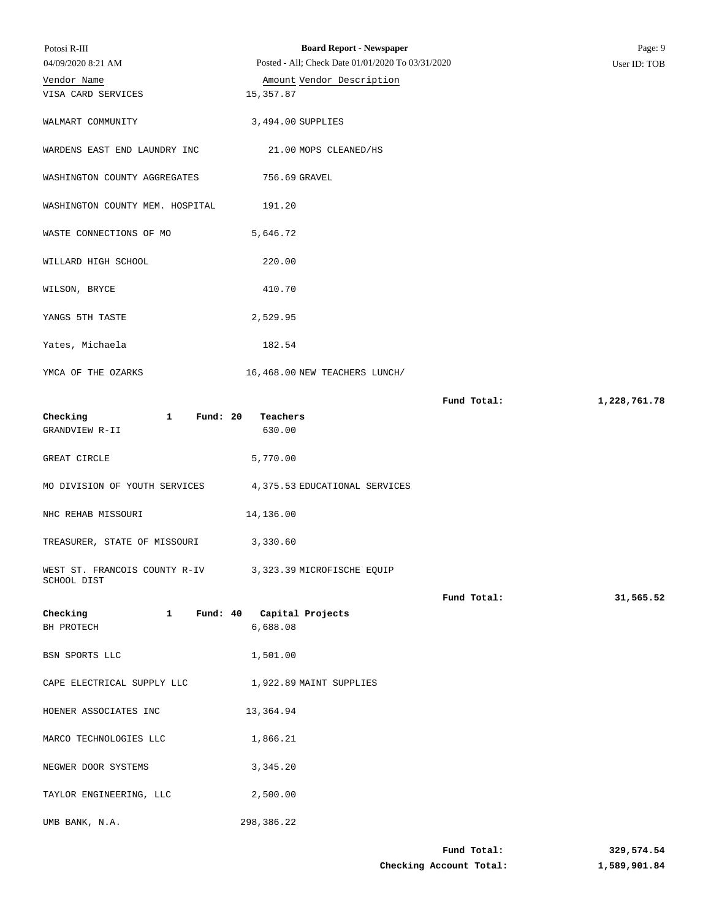| Potosi R-III                                                            | <b>Board Report - Newspaper</b>                   |             | Page: 9      |
|-------------------------------------------------------------------------|---------------------------------------------------|-------------|--------------|
| 04/09/2020 8:21 AM                                                      | Posted - All; Check Date 01/01/2020 To 03/31/2020 |             | User ID: TOB |
| Vendor Name<br>VISA CARD SERVICES                                       | Amount Vendor Description<br>15,357.87            |             |              |
| WALMART COMMUNITY                                                       | 3,494.00 SUPPLIES                                 |             |              |
| WARDENS EAST END LAUNDRY INC                                            | 21.00 MOPS CLEANED/HS                             |             |              |
| WASHINGTON COUNTY AGGREGATES                                            | 756.69 GRAVEL                                     |             |              |
| WASHINGTON COUNTY MEM. HOSPITAL                                         | 191.20                                            |             |              |
| WASTE CONNECTIONS OF MO                                                 | 5,646.72                                          |             |              |
| WILLARD HIGH SCHOOL                                                     | 220.00                                            |             |              |
| WILSON, BRYCE                                                           | 410.70                                            |             |              |
| YANGS 5TH TASTE                                                         | 2,529.95                                          |             |              |
| Yates, Michaela                                                         | 182.54                                            |             |              |
| YMCA OF THE OZARKS                                                      | 16,468.00 NEW TEACHERS LUNCH/                     |             |              |
|                                                                         |                                                   | Fund Total: | 1,228,761.78 |
| Checking<br>$\mathbf{1}$<br>Fund: $20$<br>GRANDVIEW R-II                | Teachers<br>630.00                                |             |              |
| GREAT CIRCLE                                                            | 5,770.00                                          |             |              |
| MO DIVISION OF YOUTH SERVICES                                           | 4,375.53 EDUCATIONAL SERVICES                     |             |              |
| NHC REHAB MISSOURI                                                      | 14,136.00                                         |             |              |
| TREASURER, STATE OF MISSOURI                                            | 3,330.60                                          |             |              |
| WEST ST. FRANCOIS COUNTY R-IV 3,323.39 MICROFISCHE EQUIP<br>SCHOOL DIST |                                                   |             |              |
|                                                                         |                                                   | Fund Total: | 31,565.52    |
| Checking<br>$\mathbf{1}$                                                | Fund: 40 Capital Projects                         |             |              |
| BH PROTECH                                                              | 6,688.08                                          |             |              |
| BSN SPORTS LLC                                                          | 1,501.00                                          |             |              |
| CAPE ELECTRICAL SUPPLY LLC                                              | 1,922.89 MAINT SUPPLIES                           |             |              |
| HOENER ASSOCIATES INC                                                   | 13,364.94                                         |             |              |
| MARCO TECHNOLOGIES LLC                                                  | 1,866.21                                          |             |              |
| NEGWER DOOR SYSTEMS                                                     | 3,345.20                                          |             |              |
| TAYLOR ENGINEERING, LLC                                                 | 2,500.00                                          |             |              |
| UMB BANK, N.A.                                                          | 298,386.22                                        |             |              |